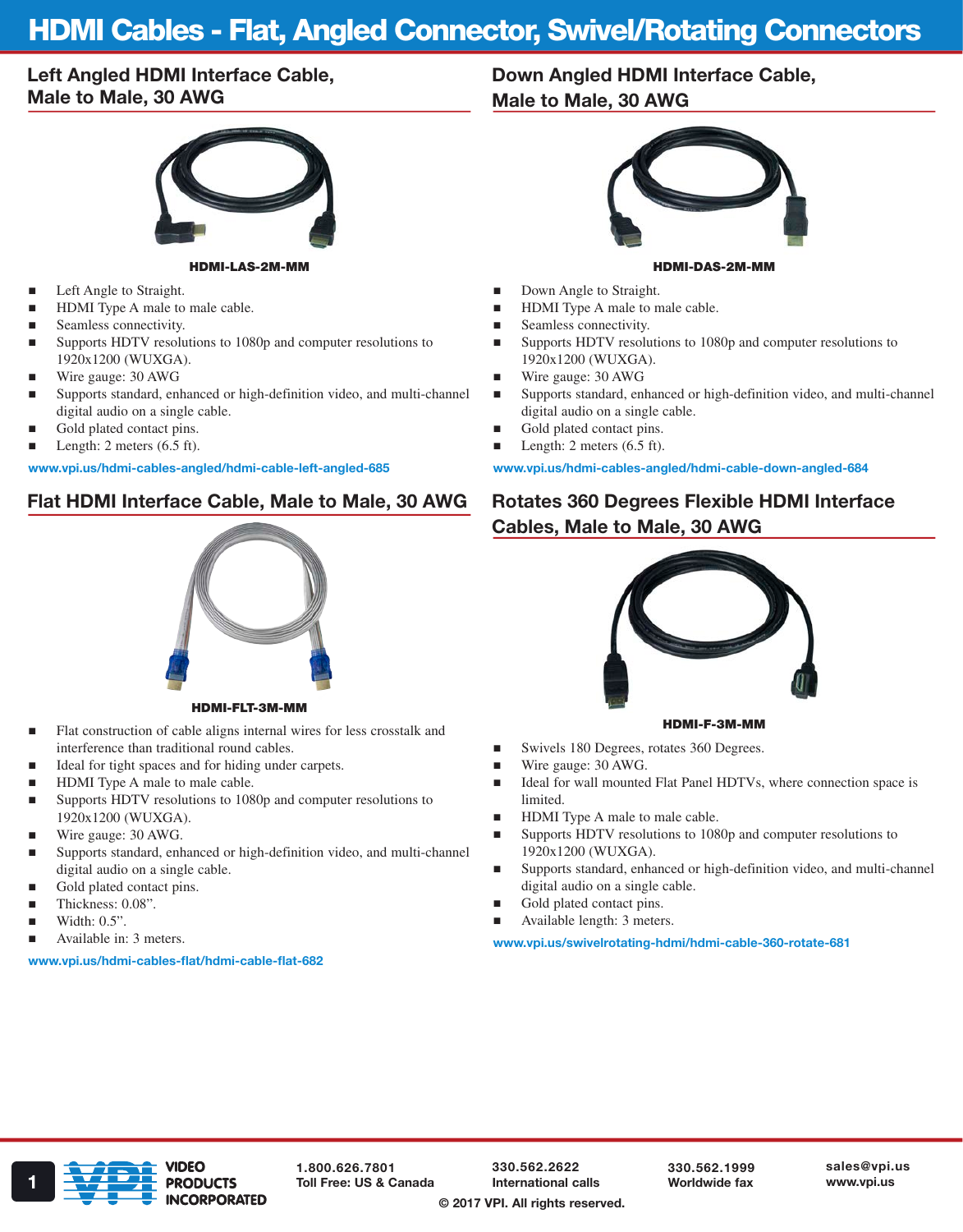# HDMI Cables - Flat, Angled Connector, Swivel/Rotating Connectors

### Left Angled HDMI Interface Cable, Male to Male, 30 AWG



#### HDMI-LAS-2M-MM

- **Left Angle to Straight.**
- HDMI Type A male to male cable.
- Seamless connectivity.
- Supports HDTV resolutions to 1080p and computer resolutions to 1920x1200 (WUXGA).
- Wire gauge: 30 AWG
- Supports standard, enhanced or high-definition video, and multi-channel digital audio on a single cable.
- Gold plated contact pins.
- **Length:** 2 meters  $(6.5 \text{ ft})$ .

#### www.vpi.us/hdmi-cables-angled/hdmi-cable-left-angled-685

#### Flat HDMI Interface Cable, Male to Male, 30 AWG



HDMI-FLT-3M-MM

- Flat construction of cable aligns internal wires for less crosstalk and interference than traditional round cables.
- Ideal for tight spaces and for hiding under carpets.
- HDMI Type A male to male cable.
- Supports HDTV resolutions to 1080p and computer resolutions to 1920x1200 (WUXGA).
- Wire gauge: 30 AWG.
- Supports standard, enhanced or high-definition video, and multi-channel digital audio on a single cable.
- Gold plated contact pins.
- Thickness: 0.08".
- Width: 0.5".
- Available in: 3 meters.

#### www.vpi.us/hdmi-cables-flat/hdmi-cable-flat-682

## Down Angled HDMI Interface Cable, Male to Male, 30 AWG



- HDMI-DAS-2M-MM
- Down Angle to Straight.
- HDMI Type A male to male cable.
- Seamless connectivity.
- Supports HDTV resolutions to 1080p and computer resolutions to 1920x1200 (WUXGA).
- Wire gauge: 30 AWG
- Supports standard, enhanced or high-definition video, and multi-channel digital audio on a single cable.
- Gold plated contact pins.
- **Length:** 2 meters  $(6.5 \text{ ft})$ .

www.vpi.us/hdmi-cables-angled/hdmi-cable-down-angled-684

## Rotates 360 Degrees Flexible HDMI Interface Cables, Male to Male, 30 AWG



#### HDMI-F-3M-MM

- Swivels 180 Degrees, rotates 360 Degrees.
- Wire gauge: 30 AWG.
- Ideal for wall mounted Flat Panel HDTVs, where connection space is limited.
- HDMI Type A male to male cable.
- Supports HDTV resolutions to 1080p and computer resolutions to 1920x1200 (WUXGA).
- Supports standard, enhanced or high-definition video, and multi-channel digital audio on a single cable.
- Gold plated contact pins.
- Available length: 3 meters.

www.vpi.us/swivelrotating-hdmi/hdmi-cable-360-rotate-681



1.800.626.7801

330.562.2622 International calls

330.562.1999 Worldwide fax

© 2017 VPI. All rights reserved.